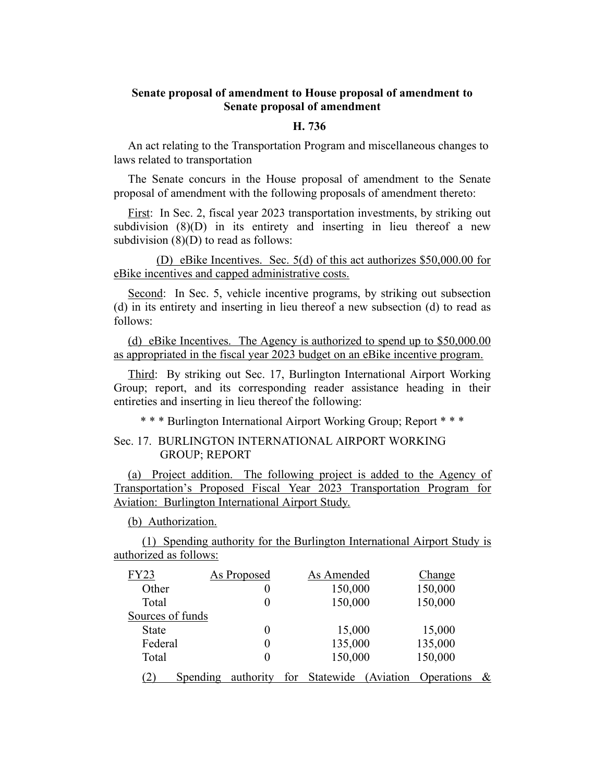## **Senate proposal of amendment to House proposal of amendment to Senate proposal of amendment**

## **H. 736**

An act relating to the Transportation Program and miscellaneous changes to laws related to transportation

The Senate concurs in the House proposal of amendment to the Senate proposal of amendment with the following proposals of amendment thereto:

First: In Sec. 2, fiscal year 2023 transportation investments, by striking out subdivision (8)(D) in its entirety and inserting in lieu thereof a new subdivision (8)(D) to read as follows:

(D) eBike Incentives. Sec. 5(d) of this act authorizes \$50,000.00 for eBike incentives and capped administrative costs.

Second: In Sec. 5, vehicle incentive programs, by striking out subsection (d) in its entirety and inserting in lieu thereof a new subsection (d) to read as follows:

(d) eBike Incentives. The Agency is authorized to spend up to \$50,000.00 as appropriated in the fiscal year 2023 budget on an eBike incentive program.

Third: By striking out Sec. 17, Burlington International Airport Working Group; report, and its corresponding reader assistance heading in their entireties and inserting in lieu thereof the following:

\* \* \* Burlington International Airport Working Group; Report \* \* \*

## Sec. 17. BURLINGTON INTERNATIONAL AIRPORT WORKING GROUP; REPORT

(a) Project addition. The following project is added to the Agency of Transportation's Proposed Fiscal Year 2023 Transportation Program for Aviation: Burlington International Airport Study.

(b) Authorization.

(1) Spending authority for the Burlington International Airport Study is authorized as follows:

| <b>FY23</b>      |          | As Proposed |  | As Amended    |            | Change     |   |
|------------------|----------|-------------|--|---------------|------------|------------|---|
| Other            |          | 0           |  | 150,000       |            | 150,000    |   |
| Total            |          | $\left($    |  | 150,000       |            | 150,000    |   |
| Sources of funds |          |             |  |               |            |            |   |
| <b>State</b>     |          | $\theta$    |  | 15,000        |            | 15,000     |   |
| Federal          |          | $\left($    |  | 135,000       |            | 135,000    |   |
| Total            |          | $\theta$    |  | 150,000       |            | 150,000    |   |
|                  | Spending | authority   |  | for Statewide | (Aviation) | Operations | & |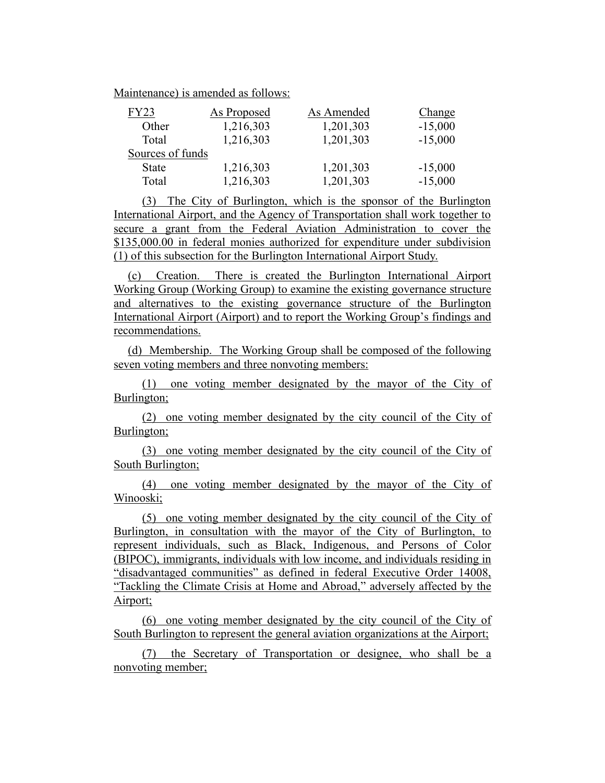Maintenance) is amended as follows:

| FY23             | <b>As Proposed</b> | As Amended | <b>Change</b> |
|------------------|--------------------|------------|---------------|
| Other            | 1,216,303          | 1,201,303  | $-15,000$     |
| Total            | 1,216,303          | 1,201,303  | $-15,000$     |
| Sources of funds |                    |            |               |
| <b>State</b>     | 1,216,303          | 1,201,303  | $-15,000$     |
| Total            | 1,216,303          | 1,201,303  | $-15,000$     |

(3) The City of Burlington, which is the sponsor of the Burlington International Airport, and the Agency of Transportation shall work together to secure a grant from the Federal Aviation Administration to cover the \$135,000.00 in federal monies authorized for expenditure under subdivision (1) of this subsection for the Burlington International Airport Study.

(c) Creation. There is created the Burlington International Airport Working Group (Working Group) to examine the existing governance structure and alternatives to the existing governance structure of the Burlington International Airport (Airport) and to report the Working Group's findings and recommendations.

(d) Membership. The Working Group shall be composed of the following seven voting members and three nonvoting members:

(1) one voting member designated by the mayor of the City of Burlington;

(2) one voting member designated by the city council of the City of Burlington;

(3) one voting member designated by the city council of the City of South Burlington;

(4) one voting member designated by the mayor of the City of Winooski;

(5) one voting member designated by the city council of the City of Burlington, in consultation with the mayor of the City of Burlington, to represent individuals, such as Black, Indigenous, and Persons of Color (BIPOC), immigrants, individuals with low income, and individuals residing in "disadvantaged communities" as defined in federal Executive Order 14008, "Tackling the Climate Crisis at Home and Abroad," adversely affected by the Airport;

(6) one voting member designated by the city council of the City of South Burlington to represent the general aviation organizations at the Airport;

(7) the Secretary of Transportation or designee, who shall be a nonvoting member;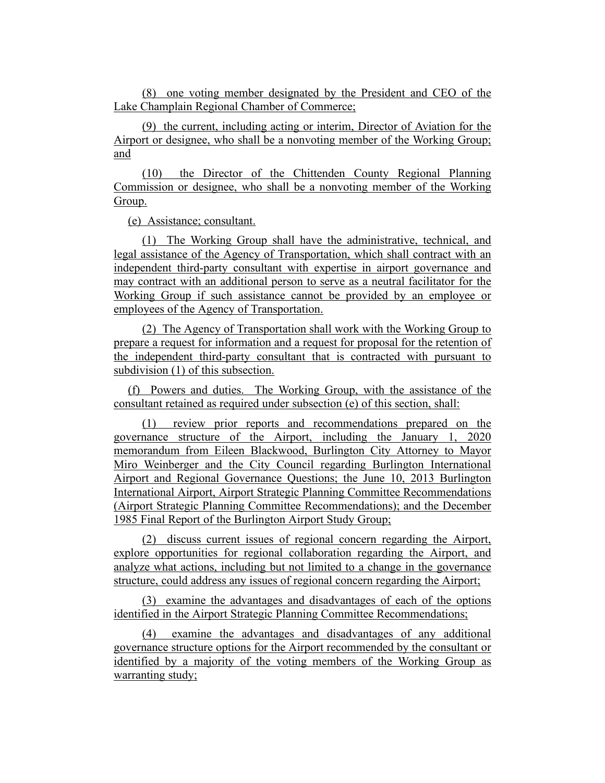(8) one voting member designated by the President and CEO of the Lake Champlain Regional Chamber of Commerce;

(9) the current, including acting or interim, Director of Aviation for the Airport or designee, who shall be a nonvoting member of the Working Group; and

(10) the Director of the Chittenden County Regional Planning Commission or designee, who shall be a nonvoting member of the Working Group.

(e) Assistance; consultant.

(1) The Working Group shall have the administrative, technical, and legal assistance of the Agency of Transportation, which shall contract with an independent third-party consultant with expertise in airport governance and may contract with an additional person to serve as a neutral facilitator for the Working Group if such assistance cannot be provided by an employee or employees of the Agency of Transportation.

(2) The Agency of Transportation shall work with the Working Group to prepare a request for information and a request for proposal for the retention of the independent third-party consultant that is contracted with pursuant to subdivision (1) of this subsection.

(f) Powers and duties. The Working Group, with the assistance of the consultant retained as required under subsection (e) of this section, shall:

(1) review prior reports and recommendations prepared on the governance structure of the Airport, including the January 1, 2020 memorandum from Eileen Blackwood, Burlington City Attorney to Mayor Miro Weinberger and the City Council regarding Burlington International Airport and Regional Governance Questions; the June 10, 2013 Burlington International Airport, Airport Strategic Planning Committee Recommendations (Airport Strategic Planning Committee Recommendations); and the December 1985 Final Report of the Burlington Airport Study Group;

(2) discuss current issues of regional concern regarding the Airport, explore opportunities for regional collaboration regarding the Airport, and analyze what actions, including but not limited to a change in the governance structure, could address any issues of regional concern regarding the Airport;

(3) examine the advantages and disadvantages of each of the options identified in the Airport Strategic Planning Committee Recommendations;

(4) examine the advantages and disadvantages of any additional governance structure options for the Airport recommended by the consultant or identified by a majority of the voting members of the Working Group as warranting study;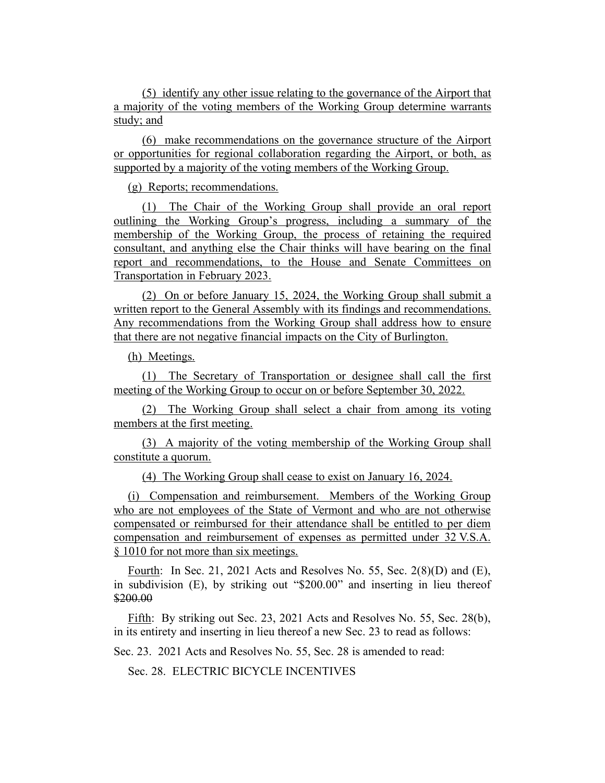(5) identify any other issue relating to the governance of the Airport that a majority of the voting members of the Working Group determine warrants study; and

(6) make recommendations on the governance structure of the Airport or opportunities for regional collaboration regarding the Airport, or both, as supported by a majority of the voting members of the Working Group.

(g) Reports; recommendations.

(1) The Chair of the Working Group shall provide an oral report outlining the Working Group's progress, including a summary of the membership of the Working Group, the process of retaining the required consultant, and anything else the Chair thinks will have bearing on the final report and recommendations, to the House and Senate Committees on Transportation in February 2023.

(2) On or before January 15, 2024, the Working Group shall submit a written report to the General Assembly with its findings and recommendations. Any recommendations from the Working Group shall address how to ensure that there are not negative financial impacts on the City of Burlington.

(h) Meetings.

(1) The Secretary of Transportation or designee shall call the first meeting of the Working Group to occur on or before September 30, 2022.

(2) The Working Group shall select a chair from among its voting members at the first meeting.

(3) A majority of the voting membership of the Working Group shall constitute a quorum.

(4) The Working Group shall cease to exist on January 16, 2024.

(i) Compensation and reimbursement. Members of the Working Group who are not employees of the State of Vermont and who are not otherwise compensated or reimbursed for their attendance shall be entitled to per diem compensation and reimbursement of expenses as permitted under 32 V.S.A. § 1010 for not more than six meetings.

Fourth: In Sec. 21, 2021 Acts and Resolves No. 55, Sec. 2(8)(D) and (E), in subdivision (E), by striking out "\$200.00" and inserting in lieu thereof \$200.00

Fifth: By striking out Sec. 23, 2021 Acts and Resolves No. 55, Sec. 28(b), in its entirety and inserting in lieu thereof a new Sec. 23 to read as follows:

Sec. 23. 2021 Acts and Resolves No. 55, Sec. 28 is amended to read:

Sec. 28. ELECTRIC BICYCLE INCENTIVES